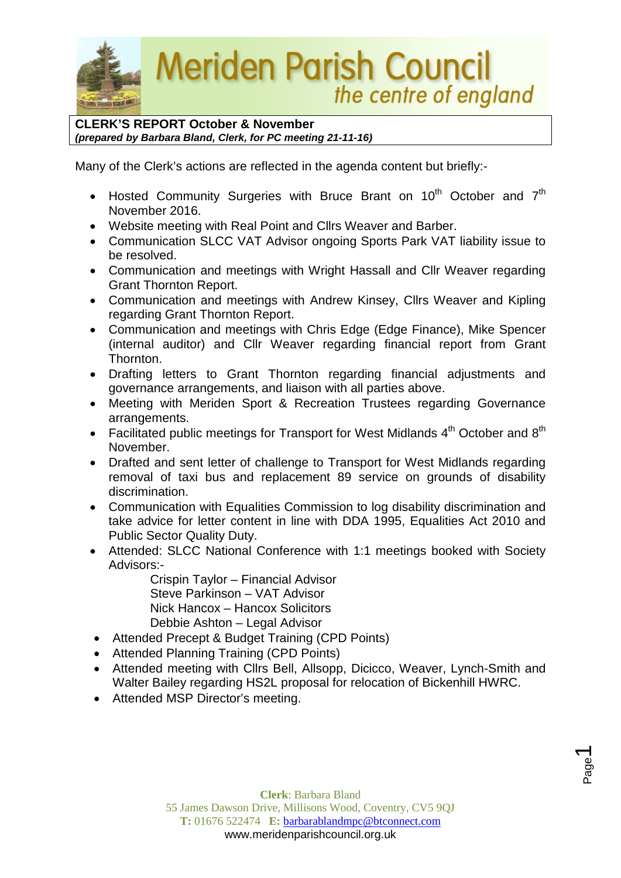

**CLERK'S REPORT October & November** *(prepared by Barbara Bland, Clerk, for PC meeting 21-11-16)*

Many of the Clerk's actions are reflected in the agenda content but briefly:-

- Hosted Community Surgeries with Bruce Brant on  $10^{th}$  October and  $7^{th}$ November 2016.
- Website meeting with Real Point and Cllrs Weaver and Barber.
- Communication SLCC VAT Advisor ongoing Sports Park VAT liability issue to be resolved.
- Communication and meetings with Wright Hassall and Cllr Weaver regarding Grant Thornton Report.
- Communication and meetings with Andrew Kinsey, Cllrs Weaver and Kipling regarding Grant Thornton Report.
- Communication and meetings with Chris Edge (Edge Finance), Mike Spencer (internal auditor) and Cllr Weaver regarding financial report from Grant Thornton.
- Drafting letters to Grant Thornton regarding financial adjustments and governance arrangements, and liaison with all parties above.
- Meeting with Meriden Sport & Recreation Trustees regarding Governance arrangements.
- Facilitated public meetings for Transport for West Midlands  $4<sup>th</sup>$  October and  $8<sup>th</sup>$ November.
- Drafted and sent letter of challenge to Transport for West Midlands regarding removal of taxi bus and replacement 89 service on grounds of disability discrimination.
- Communication with Equalities Commission to log disability discrimination and take advice for letter content in line with DDA 1995, Equalities Act 2010 and Public Sector Quality Duty.
- Attended: SLCC National Conference with 1:1 meetings booked with Society Advisors:-

Crispin Taylor – Financial Advisor Steve Parkinson – VAT Advisor Nick Hancox – Hancox Solicitors Debbie Ashton – Legal Advisor

- Attended Precept & Budget Training (CPD Points)
- Attended Planning Training (CPD Points)
- Attended meeting with Cllrs Bell, Allsopp, Dicicco, Weaver, Lynch-Smith and Walter Bailey regarding HS2L proposal for relocation of Bickenhill HWRC.
- Attended MSP Director's meeting.